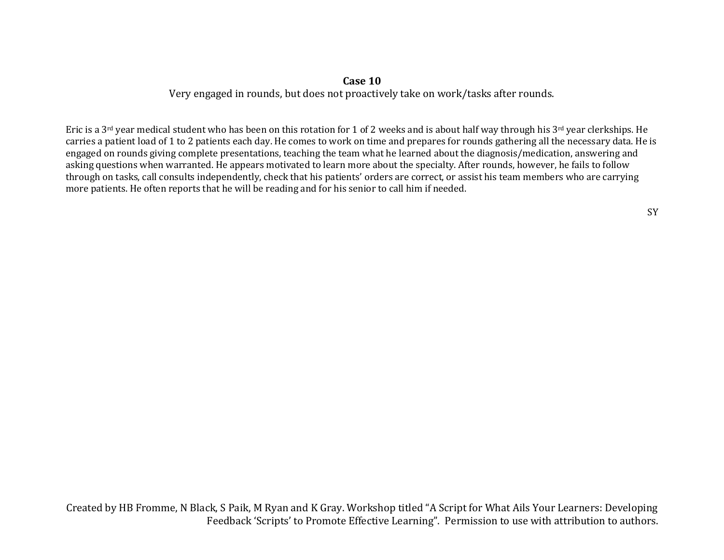## **Case 10**

Very engaged in rounds, but does not proactively take on work/tasks after rounds.

Eric is a 3<sup>rd</sup> year medical student who has been on this rotation for 1 of 2 weeks and is about half way through his 3<sup>rd</sup> year clerkships. He carries a patient load of 1 to 2 patients each day. He comes to work on time and prepares for rounds gathering all the necessary data. He is engaged on rounds giving complete presentations, teaching the team what he learned about the diagnosis/medication, answering and asking questions when warranted. He appears motivated to learn more about the specialty. After rounds, however, he fails to follow through on tasks, call consults independently, check that his patients' orders are correct, or assist his team members who are carrying more patients. He often reports that he will be reading and for his senior to call him if needed.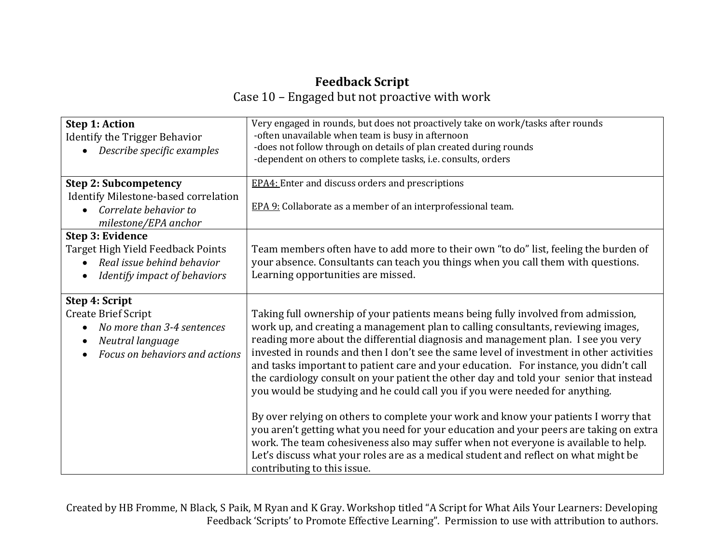## **Feedback Script** Case 10 – Engaged but not proactive with work

| <b>Step 1: Action</b><br>Identify the Trigger Behavior<br>Describe specific examples                                             | Very engaged in rounds, but does not proactively take on work/tasks after rounds<br>-often unavailable when team is busy in afternoon<br>-does not follow through on details of plan created during rounds<br>-dependent on others to complete tasks, i.e. consults, orders                                                                                                                                                                                                                                                                                                                                                                                                                                                                                                                                                                                                                                                                                                                                              |
|----------------------------------------------------------------------------------------------------------------------------------|--------------------------------------------------------------------------------------------------------------------------------------------------------------------------------------------------------------------------------------------------------------------------------------------------------------------------------------------------------------------------------------------------------------------------------------------------------------------------------------------------------------------------------------------------------------------------------------------------------------------------------------------------------------------------------------------------------------------------------------------------------------------------------------------------------------------------------------------------------------------------------------------------------------------------------------------------------------------------------------------------------------------------|
| <b>Step 2: Subcompetency</b><br>Identify Milestone-based correlation<br>• Correlate behavior to<br>milestone/EPA anchor          | <b>EPA4</b> : Enter and discuss orders and prescriptions<br>EPA 9: Collaborate as a member of an interprofessional team.                                                                                                                                                                                                                                                                                                                                                                                                                                                                                                                                                                                                                                                                                                                                                                                                                                                                                                 |
| Step 3: Evidence<br>Target High Yield Feedback Points<br>Real issue behind behavior<br>Identify impact of behaviors              | Team members often have to add more to their own "to do" list, feeling the burden of<br>your absence. Consultants can teach you things when you call them with questions.<br>Learning opportunities are missed.                                                                                                                                                                                                                                                                                                                                                                                                                                                                                                                                                                                                                                                                                                                                                                                                          |
| Step 4: Script<br><b>Create Brief Script</b><br>No more than 3-4 sentences<br>Neutral language<br>Focus on behaviors and actions | Taking full ownership of your patients means being fully involved from admission,<br>work up, and creating a management plan to calling consultants, reviewing images,<br>reading more about the differential diagnosis and management plan. I see you very<br>invested in rounds and then I don't see the same level of investment in other activities<br>and tasks important to patient care and your education. For instance, you didn't call<br>the cardiology consult on your patient the other day and told your senior that instead<br>you would be studying and he could call you if you were needed for anything.<br>By over relying on others to complete your work and know your patients I worry that<br>you aren't getting what you need for your education and your peers are taking on extra<br>work. The team cohesiveness also may suffer when not everyone is available to help.<br>Let's discuss what your roles are as a medical student and reflect on what might be<br>contributing to this issue. |

Created by HB Fromme, N Black, S Paik, M Ryan and K Gray. Workshop titled "A Script for What Ails Your Learners: Developing Feedback 'Scripts' to Promote Effective Learning". Permission to use with attribution to authors.